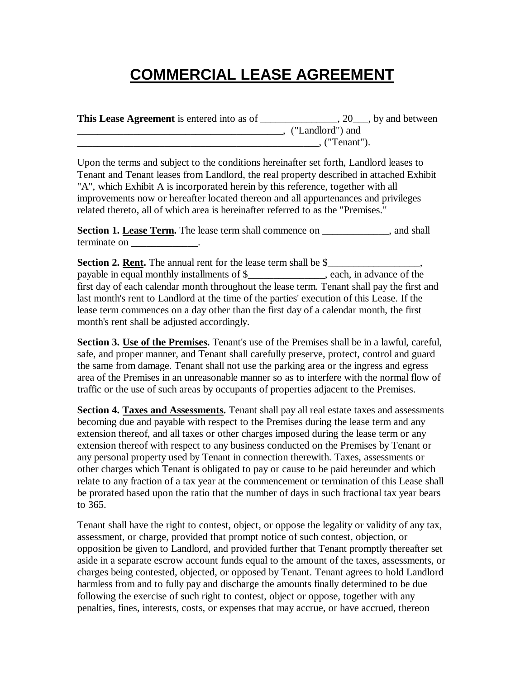## **COMMERCIAL LEASE AGREEMENT**

**This Lease Agreement** is entered into as of \_\_\_\_\_\_\_\_\_\_\_\_\_\_\_, 20\_\_\_, by and between \_\_\_\_\_\_\_\_\_\_\_\_\_\_\_\_\_\_\_\_\_\_\_\_\_\_\_\_\_\_\_\_\_\_\_\_\_\_\_\_, ("Landlord") and  $\blacksquare$ . ("Tenant").

Upon the terms and subject to the conditions hereinafter set forth, Landlord leases to Tenant and Tenant leases from Landlord, the real property described in attached Exhibit "A", which Exhibit A is incorporated herein by this reference, together with all improvements now or hereafter located thereon and all appurtenances and privileges related thereto, all of which area is hereinafter referred to as the "Premises."

Section 1. Lease Term. The lease term shall commence on \_\_\_\_\_\_\_\_\_\_, and shall terminate on  $\blacksquare$ 

**Section 2. Rent.** The annual rent for the lease term shall be \$\_\_\_\_\_\_\_\_\_\_\_\_\_\_\_\_, payable in equal monthly installments of \$\_\_\_\_\_\_\_\_\_\_\_\_\_\_\_, each, in advance of the first day of each calendar month throughout the lease term. Tenant shall pay the first and last month's rent to Landlord at the time of the parties' execution of this Lease. If the lease term commences on a day other than the first day of a calendar month, the first month's rent shall be adjusted accordingly.

**Section 3. Use of the Premises.** Tenant's use of the Premises shall be in a lawful, careful, safe, and proper manner, and Tenant shall carefully preserve, protect, control and guard the same from damage. Tenant shall not use the parking area or the ingress and egress area of the Premises in an unreasonable manner so as to interfere with the normal flow of traffic or the use of such areas by occupants of properties adjacent to the Premises.

Section 4. Taxes and Assessments. Tenant shall pay all real estate taxes and assessments becoming due and payable with respect to the Premises during the lease term and any extension thereof, and all taxes or other charges imposed during the lease term or any extension thereof with respect to any business conducted on the Premises by Tenant or any personal property used by Tenant in connection therewith. Taxes, assessments or other charges which Tenant is obligated to pay or cause to be paid hereunder and which relate to any fraction of a tax year at the commencement or termination of this Lease shall be prorated based upon the ratio that the number of days in such fractional tax year bears to 365.

Tenant shall have the right to contest, object, or oppose the legality or validity of any tax, assessment, or charge, provided that prompt notice of such contest, objection, or opposition be given to Landlord, and provided further that Tenant promptly thereafter set aside in a separate escrow account funds equal to the amount of the taxes, assessments, or charges being contested, objected, or opposed by Tenant. Tenant agrees to hold Landlord harmless from and to fully pay and discharge the amounts finally determined to be due following the exercise of such right to contest, object or oppose, together with any penalties, fines, interests, costs, or expenses that may accrue, or have accrued, thereon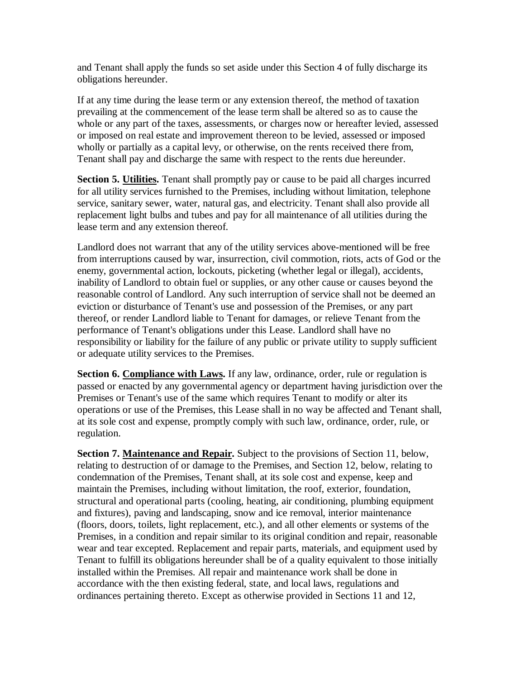and Tenant shall apply the funds so set aside under this Section 4 of fully discharge its obligations hereunder.

If at any time during the lease term or any extension thereof, the method of taxation prevailing at the commencement of the lease term shall be altered so as to cause the whole or any part of the taxes, assessments, or charges now or hereafter levied, assessed or imposed on real estate and improvement thereon to be levied, assessed or imposed wholly or partially as a capital levy, or otherwise, on the rents received there from, Tenant shall pay and discharge the same with respect to the rents due hereunder.

**Section 5. Utilities.** Tenant shall promptly pay or cause to be paid all charges incurred for all utility services furnished to the Premises, including without limitation, telephone service, sanitary sewer, water, natural gas, and electricity. Tenant shall also provide all replacement light bulbs and tubes and pay for all maintenance of all utilities during the lease term and any extension thereof.

Landlord does not warrant that any of the utility services above-mentioned will be free from interruptions caused by war, insurrection, civil commotion, riots, acts of God or the enemy, governmental action, lockouts, picketing (whether legal or illegal), accidents, inability of Landlord to obtain fuel or supplies, or any other cause or causes beyond the reasonable control of Landlord. Any such interruption of service shall not be deemed an eviction or disturbance of Tenant's use and possession of the Premises, or any part thereof, or render Landlord liable to Tenant for damages, or relieve Tenant from the performance of Tenant's obligations under this Lease. Landlord shall have no responsibility or liability for the failure of any public or private utility to supply sufficient or adequate utility services to the Premises.

**Section 6. Compliance with Laws.** If any law, ordinance, order, rule or regulation is passed or enacted by any governmental agency or department having jurisdiction over the Premises or Tenant's use of the same which requires Tenant to modify or alter its operations or use of the Premises, this Lease shall in no way be affected and Tenant shall, at its sole cost and expense, promptly comply with such law, ordinance, order, rule, or regulation.

**Section 7. Maintenance and Repair.** Subject to the provisions of Section 11, below, relating to destruction of or damage to the Premises, and Section 12, below, relating to condemnation of the Premises, Tenant shall, at its sole cost and expense, keep and maintain the Premises, including without limitation, the roof, exterior, foundation, structural and operational parts (cooling, heating, air conditioning, plumbing equipment and fixtures), paving and landscaping, snow and ice removal, interior maintenance (floors, doors, toilets, light replacement, etc.), and all other elements or systems of the Premises, in a condition and repair similar to its original condition and repair, reasonable wear and tear excepted. Replacement and repair parts, materials, and equipment used by Tenant to fulfill its obligations hereunder shall be of a quality equivalent to those initially installed within the Premises. All repair and maintenance work shall be done in accordance with the then existing federal, state, and local laws, regulations and ordinances pertaining thereto. Except as otherwise provided in Sections 11 and 12,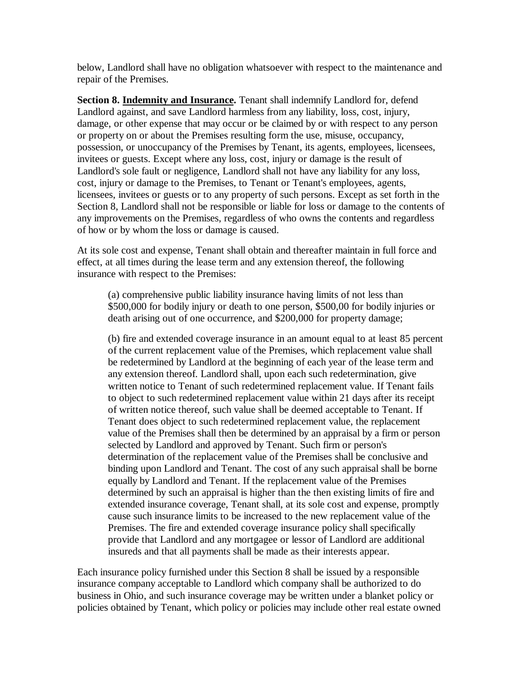below, Landlord shall have no obligation whatsoever with respect to the maintenance and repair of the Premises.

**Section 8. Indemnity and Insurance.** Tenant shall indemnify Landlord for, defend Landlord against, and save Landlord harmless from any liability, loss, cost, injury, damage, or other expense that may occur or be claimed by or with respect to any person or property on or about the Premises resulting form the use, misuse, occupancy, possession, or unoccupancy of the Premises by Tenant, its agents, employees, licensees, invitees or guests. Except where any loss, cost, injury or damage is the result of Landlord's sole fault or negligence, Landlord shall not have any liability for any loss, cost, injury or damage to the Premises, to Tenant or Tenant's employees, agents, licensees, invitees or guests or to any property of such persons. Except as set forth in the Section 8, Landlord shall not be responsible or liable for loss or damage to the contents of any improvements on the Premises, regardless of who owns the contents and regardless of how or by whom the loss or damage is caused.

At its sole cost and expense, Tenant shall obtain and thereafter maintain in full force and effect, at all times during the lease term and any extension thereof, the following insurance with respect to the Premises:

(a) comprehensive public liability insurance having limits of not less than \$500,000 for bodily injury or death to one person, \$500,00 for bodily injuries or death arising out of one occurrence, and \$200,000 for property damage;

(b) fire and extended coverage insurance in an amount equal to at least 85 percent of the current replacement value of the Premises, which replacement value shall be redetermined by Landlord at the beginning of each year of the lease term and any extension thereof. Landlord shall, upon each such redetermination, give written notice to Tenant of such redetermined replacement value. If Tenant fails to object to such redetermined replacement value within 21 days after its receipt of written notice thereof, such value shall be deemed acceptable to Tenant. If Tenant does object to such redetermined replacement value, the replacement value of the Premises shall then be determined by an appraisal by a firm or person selected by Landlord and approved by Tenant. Such firm or person's determination of the replacement value of the Premises shall be conclusive and binding upon Landlord and Tenant. The cost of any such appraisal shall be borne equally by Landlord and Tenant. If the replacement value of the Premises determined by such an appraisal is higher than the then existing limits of fire and extended insurance coverage, Tenant shall, at its sole cost and expense, promptly cause such insurance limits to be increased to the new replacement value of the Premises. The fire and extended coverage insurance policy shall specifically provide that Landlord and any mortgagee or lessor of Landlord are additional insureds and that all payments shall be made as their interests appear.

Each insurance policy furnished under this Section 8 shall be issued by a responsible insurance company acceptable to Landlord which company shall be authorized to do business in Ohio, and such insurance coverage may be written under a blanket policy or policies obtained by Tenant, which policy or policies may include other real estate owned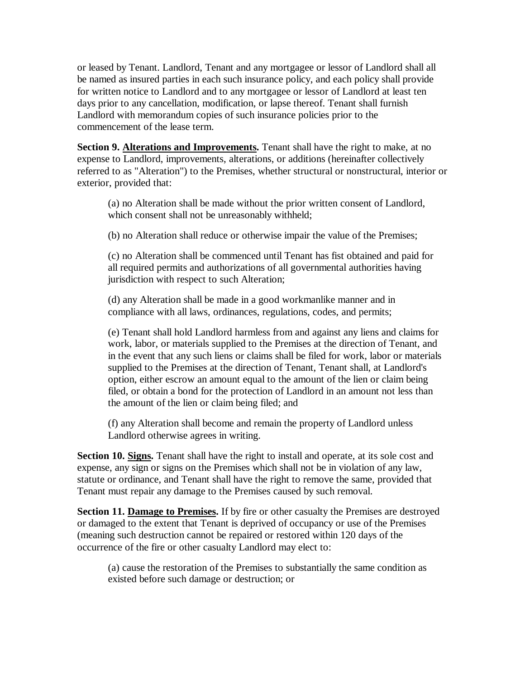or leased by Tenant. Landlord, Tenant and any mortgagee or lessor of Landlord shall all be named as insured parties in each such insurance policy, and each policy shall provide for written notice to Landlord and to any mortgagee or lessor of Landlord at least ten days prior to any cancellation, modification, or lapse thereof. Tenant shall furnish Landlord with memorandum copies of such insurance policies prior to the commencement of the lease term.

**Section 9. Alterations and Improvements.** Tenant shall have the right to make, at no expense to Landlord, improvements, alterations, or additions (hereinafter collectively referred to as "Alteration") to the Premises, whether structural or nonstructural, interior or exterior, provided that:

(a) no Alteration shall be made without the prior written consent of Landlord, which consent shall not be unreasonably withheld;

(b) no Alteration shall reduce or otherwise impair the value of the Premises;

(c) no Alteration shall be commenced until Tenant has fist obtained and paid for all required permits and authorizations of all governmental authorities having jurisdiction with respect to such Alteration;

(d) any Alteration shall be made in a good workmanlike manner and in compliance with all laws, ordinances, regulations, codes, and permits;

(e) Tenant shall hold Landlord harmless from and against any liens and claims for work, labor, or materials supplied to the Premises at the direction of Tenant, and in the event that any such liens or claims shall be filed for work, labor or materials supplied to the Premises at the direction of Tenant, Tenant shall, at Landlord's option, either escrow an amount equal to the amount of the lien or claim being filed, or obtain a bond for the protection of Landlord in an amount not less than the amount of the lien or claim being filed; and

(f) any Alteration shall become and remain the property of Landlord unless Landlord otherwise agrees in writing.

**Section 10. Signs.** Tenant shall have the right to install and operate, at its sole cost and expense, any sign or signs on the Premises which shall not be in violation of any law, statute or ordinance, and Tenant shall have the right to remove the same, provided that Tenant must repair any damage to the Premises caused by such removal.

Section 11. Damage to Premises. If by fire or other casualty the Premises are destroyed or damaged to the extent that Tenant is deprived of occupancy or use of the Premises (meaning such destruction cannot be repaired or restored within 120 days of the occurrence of the fire or other casualty Landlord may elect to:

(a) cause the restoration of the Premises to substantially the same condition as existed before such damage or destruction; or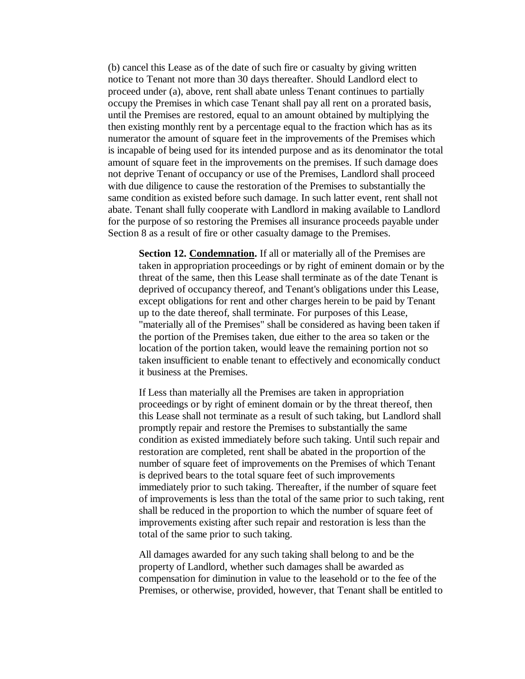(b) cancel this Lease as of the date of such fire or casualty by giving written notice to Tenant not more than 30 days thereafter. Should Landlord elect to proceed under (a), above, rent shall abate unless Tenant continues to partially occupy the Premises in which case Tenant shall pay all rent on a prorated basis, until the Premises are restored, equal to an amount obtained by multiplying the then existing monthly rent by a percentage equal to the fraction which has as its numerator the amount of square feet in the improvements of the Premises which is incapable of being used for its intended purpose and as its denominator the total amount of square feet in the improvements on the premises. If such damage does not deprive Tenant of occupancy or use of the Premises, Landlord shall proceed with due diligence to cause the restoration of the Premises to substantially the same condition as existed before such damage. In such latter event, rent shall not abate. Tenant shall fully cooperate with Landlord in making available to Landlord for the purpose of so restoring the Premises all insurance proceeds payable under Section 8 as a result of fire or other casualty damage to the Premises.

**Section 12. Condemnation.** If all or materially all of the Premises are taken in appropriation proceedings or by right of eminent domain or by the threat of the same, then this Lease shall terminate as of the date Tenant is deprived of occupancy thereof, and Tenant's obligations under this Lease, except obligations for rent and other charges herein to be paid by Tenant up to the date thereof, shall terminate. For purposes of this Lease, "materially all of the Premises" shall be considered as having been taken if the portion of the Premises taken, due either to the area so taken or the location of the portion taken, would leave the remaining portion not so taken insufficient to enable tenant to effectively and economically conduct it business at the Premises.

If Less than materially all the Premises are taken in appropriation proceedings or by right of eminent domain or by the threat thereof, then this Lease shall not terminate as a result of such taking, but Landlord shall promptly repair and restore the Premises to substantially the same condition as existed immediately before such taking. Until such repair and restoration are completed, rent shall be abated in the proportion of the number of square feet of improvements on the Premises of which Tenant is deprived bears to the total square feet of such improvements immediately prior to such taking. Thereafter, if the number of square feet of improvements is less than the total of the same prior to such taking, rent shall be reduced in the proportion to which the number of square feet of improvements existing after such repair and restoration is less than the total of the same prior to such taking.

All damages awarded for any such taking shall belong to and be the property of Landlord, whether such damages shall be awarded as compensation for diminution in value to the leasehold or to the fee of the Premises, or otherwise, provided, however, that Tenant shall be entitled to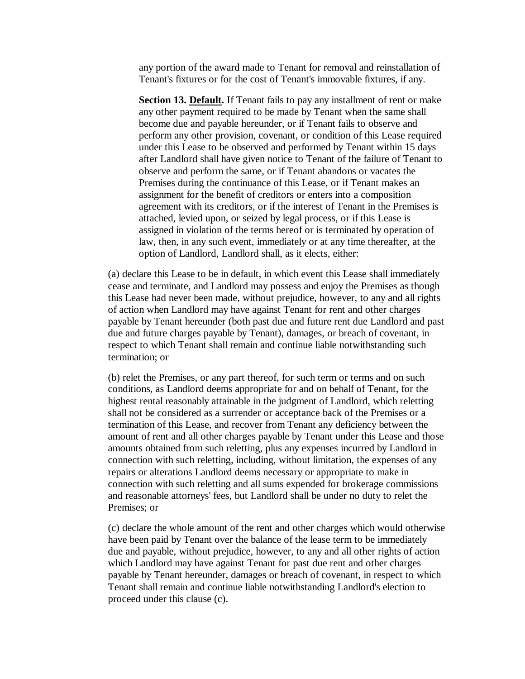any portion of the award made to Tenant for removal and reinstallation of Tenant's fixtures or for the cost of Tenant's immovable fixtures, if any.

**Section 13. Default.** If Tenant fails to pay any installment of rent or make any other payment required to be made by Tenant when the same shall become due and payable hereunder, or if Tenant fails to observe and perform any other provision, covenant, or condition of this Lease required under this Lease to be observed and performed by Tenant within 15 days after Landlord shall have given notice to Tenant of the failure of Tenant to observe and perform the same, or if Tenant abandons or vacates the Premises during the continuance of this Lease, or if Tenant makes an assignment for the benefit of creditors or enters into a composition agreement with its creditors, or if the interest of Tenant in the Premises is attached, levied upon, or seized by legal process, or if this Lease is assigned in violation of the terms hereof or is terminated by operation of law, then, in any such event, immediately or at any time thereafter, at the option of Landlord, Landlord shall, as it elects, either:

(a) declare this Lease to be in default, in which event this Lease shall immediately cease and terminate, and Landlord may possess and enjoy the Premises as though this Lease had never been made, without prejudice, however, to any and all rights of action when Landlord may have against Tenant for rent and other charges payable by Tenant hereunder (both past due and future rent due Landlord and past due and future charges payable by Tenant), damages, or breach of covenant, in respect to which Tenant shall remain and continue liable notwithstanding such termination; or

(b) relet the Premises, or any part thereof, for such term or terms and on such conditions, as Landlord deems appropriate for and on behalf of Tenant, for the highest rental reasonably attainable in the judgment of Landlord, which reletting shall not be considered as a surrender or acceptance back of the Premises or a termination of this Lease, and recover from Tenant any deficiency between the amount of rent and all other charges payable by Tenant under this Lease and those amounts obtained from such reletting, plus any expenses incurred by Landlord in connection with such reletting, including, without limitation, the expenses of any repairs or alterations Landlord deems necessary or appropriate to make in connection with such reletting and all sums expended for brokerage commissions and reasonable attorneys' fees, but Landlord shall be under no duty to relet the Premises; or

(c) declare the whole amount of the rent and other charges which would otherwise have been paid by Tenant over the balance of the lease term to be immediately due and payable, without prejudice, however, to any and all other rights of action which Landlord may have against Tenant for past due rent and other charges payable by Tenant hereunder, damages or breach of covenant, in respect to which Tenant shall remain and continue liable notwithstanding Landlord's election to proceed under this clause (c).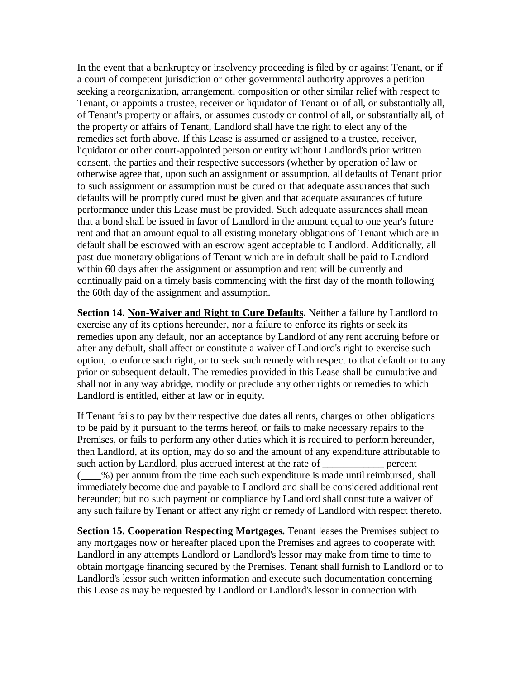In the event that a bankruptcy or insolvency proceeding is filed by or against Tenant, or if a court of competent jurisdiction or other governmental authority approves a petition seeking a reorganization, arrangement, composition or other similar relief with respect to Tenant, or appoints a trustee, receiver or liquidator of Tenant or of all, or substantially all, of Tenant's property or affairs, or assumes custody or control of all, or substantially all, of the property or affairs of Tenant, Landlord shall have the right to elect any of the remedies set forth above. If this Lease is assumed or assigned to a trustee, receiver, liquidator or other court-appointed person or entity without Landlord's prior written consent, the parties and their respective successors (whether by operation of law or otherwise agree that, upon such an assignment or assumption, all defaults of Tenant prior to such assignment or assumption must be cured or that adequate assurances that such defaults will be promptly cured must be given and that adequate assurances of future performance under this Lease must be provided. Such adequate assurances shall mean that a bond shall be issued in favor of Landlord in the amount equal to one year's future rent and that an amount equal to all existing monetary obligations of Tenant which are in default shall be escrowed with an escrow agent acceptable to Landlord. Additionally, all past due monetary obligations of Tenant which are in default shall be paid to Landlord within 60 days after the assignment or assumption and rent will be currently and continually paid on a timely basis commencing with the first day of the month following the 60th day of the assignment and assumption.

**Section 14. Non-Waiver and Right to Cure Defaults.** Neither a failure by Landlord to exercise any of its options hereunder, nor a failure to enforce its rights or seek its remedies upon any default, nor an acceptance by Landlord of any rent accruing before or after any default, shall affect or constitute a waiver of Landlord's right to exercise such option, to enforce such right, or to seek such remedy with respect to that default or to any prior or subsequent default. The remedies provided in this Lease shall be cumulative and shall not in any way abridge, modify or preclude any other rights or remedies to which Landlord is entitled, either at law or in equity.

If Tenant fails to pay by their respective due dates all rents, charges or other obligations to be paid by it pursuant to the terms hereof, or fails to make necessary repairs to the Premises, or fails to perform any other duties which it is required to perform hereunder, then Landlord, at its option, may do so and the amount of any expenditure attributable to such action by Landlord, plus accrued interest at the rate of percent ( $\_\_\%$ ) per annum from the time each such expenditure is made until reimbursed, shall immediately become due and payable to Landlord and shall be considered additional rent hereunder; but no such payment or compliance by Landlord shall constitute a waiver of any such failure by Tenant or affect any right or remedy of Landlord with respect thereto.

**Section 15. Cooperation Respecting Mortgages.** Tenant leases the Premises subject to any mortgages now or hereafter placed upon the Premises and agrees to cooperate with Landlord in any attempts Landlord or Landlord's lessor may make from time to time to obtain mortgage financing secured by the Premises. Tenant shall furnish to Landlord or to Landlord's lessor such written information and execute such documentation concerning this Lease as may be requested by Landlord or Landlord's lessor in connection with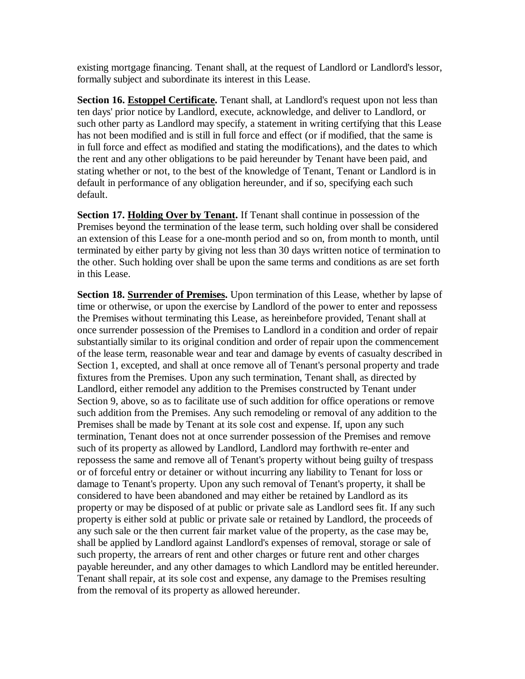existing mortgage financing. Tenant shall, at the request of Landlord or Landlord's lessor, formally subject and subordinate its interest in this Lease.

**Section 16. Estoppel Certificate.** Tenant shall, at Landlord's request upon not less than ten days' prior notice by Landlord, execute, acknowledge, and deliver to Landlord, or such other party as Landlord may specify, a statement in writing certifying that this Lease has not been modified and is still in full force and effect (or if modified, that the same is in full force and effect as modified and stating the modifications), and the dates to which the rent and any other obligations to be paid hereunder by Tenant have been paid, and stating whether or not, to the best of the knowledge of Tenant, Tenant or Landlord is in default in performance of any obligation hereunder, and if so, specifying each such default.

**Section 17. Holding Over by Tenant.** If Tenant shall continue in possession of the Premises beyond the termination of the lease term, such holding over shall be considered an extension of this Lease for a one-month period and so on, from month to month, until terminated by either party by giving not less than 30 days written notice of termination to the other. Such holding over shall be upon the same terms and conditions as are set forth in this Lease.

**Section 18. Surrender of Premises.** Upon termination of this Lease, whether by lapse of time or otherwise, or upon the exercise by Landlord of the power to enter and repossess the Premises without terminating this Lease, as hereinbefore provided, Tenant shall at once surrender possession of the Premises to Landlord in a condition and order of repair substantially similar to its original condition and order of repair upon the commencement of the lease term, reasonable wear and tear and damage by events of casualty described in Section 1, excepted, and shall at once remove all of Tenant's personal property and trade fixtures from the Premises. Upon any such termination, Tenant shall, as directed by Landlord, either remodel any addition to the Premises constructed by Tenant under Section 9, above, so as to facilitate use of such addition for office operations or remove such addition from the Premises. Any such remodeling or removal of any addition to the Premises shall be made by Tenant at its sole cost and expense. If, upon any such termination, Tenant does not at once surrender possession of the Premises and remove such of its property as allowed by Landlord, Landlord may forthwith re-enter and repossess the same and remove all of Tenant's property without being guilty of trespass or of forceful entry or detainer or without incurring any liability to Tenant for loss or damage to Tenant's property. Upon any such removal of Tenant's property, it shall be considered to have been abandoned and may either be retained by Landlord as its property or may be disposed of at public or private sale as Landlord sees fit. If any such property is either sold at public or private sale or retained by Landlord, the proceeds of any such sale or the then current fair market value of the property, as the case may be, shall be applied by Landlord against Landlord's expenses of removal, storage or sale of such property, the arrears of rent and other charges or future rent and other charges payable hereunder, and any other damages to which Landlord may be entitled hereunder. Tenant shall repair, at its sole cost and expense, any damage to the Premises resulting from the removal of its property as allowed hereunder.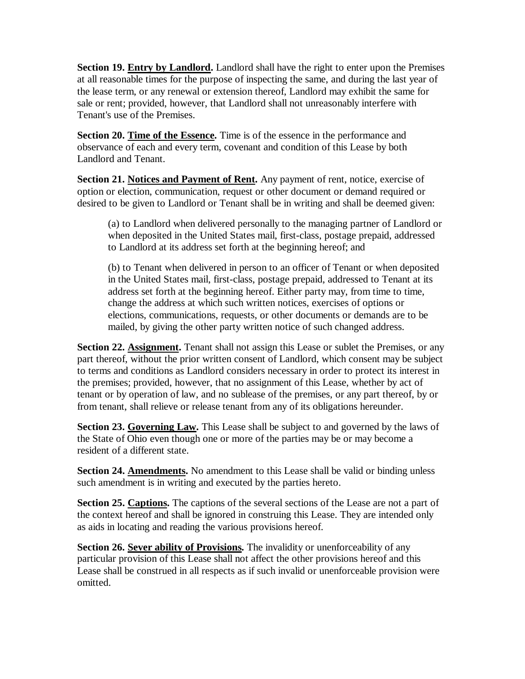**Section 19. Entry by Landlord.** Landlord shall have the right to enter upon the Premises at all reasonable times for the purpose of inspecting the same, and during the last year of the lease term, or any renewal or extension thereof, Landlord may exhibit the same for sale or rent; provided, however, that Landlord shall not unreasonably interfere with Tenant's use of the Premises.

**Section 20. Time of the Essence.** Time is of the essence in the performance and observance of each and every term, covenant and condition of this Lease by both Landlord and Tenant.

**Section 21. Notices and Payment of Rent.** Any payment of rent, notice, exercise of option or election, communication, request or other document or demand required or desired to be given to Landlord or Tenant shall be in writing and shall be deemed given:

(a) to Landlord when delivered personally to the managing partner of Landlord or when deposited in the United States mail, first-class, postage prepaid, addressed to Landlord at its address set forth at the beginning hereof; and

(b) to Tenant when delivered in person to an officer of Tenant or when deposited in the United States mail, first-class, postage prepaid, addressed to Tenant at its address set forth at the beginning hereof. Either party may, from time to time, change the address at which such written notices, exercises of options or elections, communications, requests, or other documents or demands are to be mailed, by giving the other party written notice of such changed address.

Section 22. Assignment. Tenant shall not assign this Lease or sublet the Premises, or any part thereof, without the prior written consent of Landlord, which consent may be subject to terms and conditions as Landlord considers necessary in order to protect its interest in the premises; provided, however, that no assignment of this Lease, whether by act of tenant or by operation of law, and no sublease of the premises, or any part thereof, by or from tenant, shall relieve or release tenant from any of its obligations hereunder.

**Section 23. Governing Law.** This Lease shall be subject to and governed by the laws of the State of Ohio even though one or more of the parties may be or may become a resident of a different state.

**Section 24. Amendments.** No amendment to this Lease shall be valid or binding unless such amendment is in writing and executed by the parties hereto.

**Section 25. Captions.** The captions of the several sections of the Lease are not a part of the context hereof and shall be ignored in construing this Lease. They are intended only as aids in locating and reading the various provisions hereof.

**Section 26. Sever ability of Provisions.** The invalidity or unenforceability of any particular provision of this Lease shall not affect the other provisions hereof and this Lease shall be construed in all respects as if such invalid or unenforceable provision were omitted.